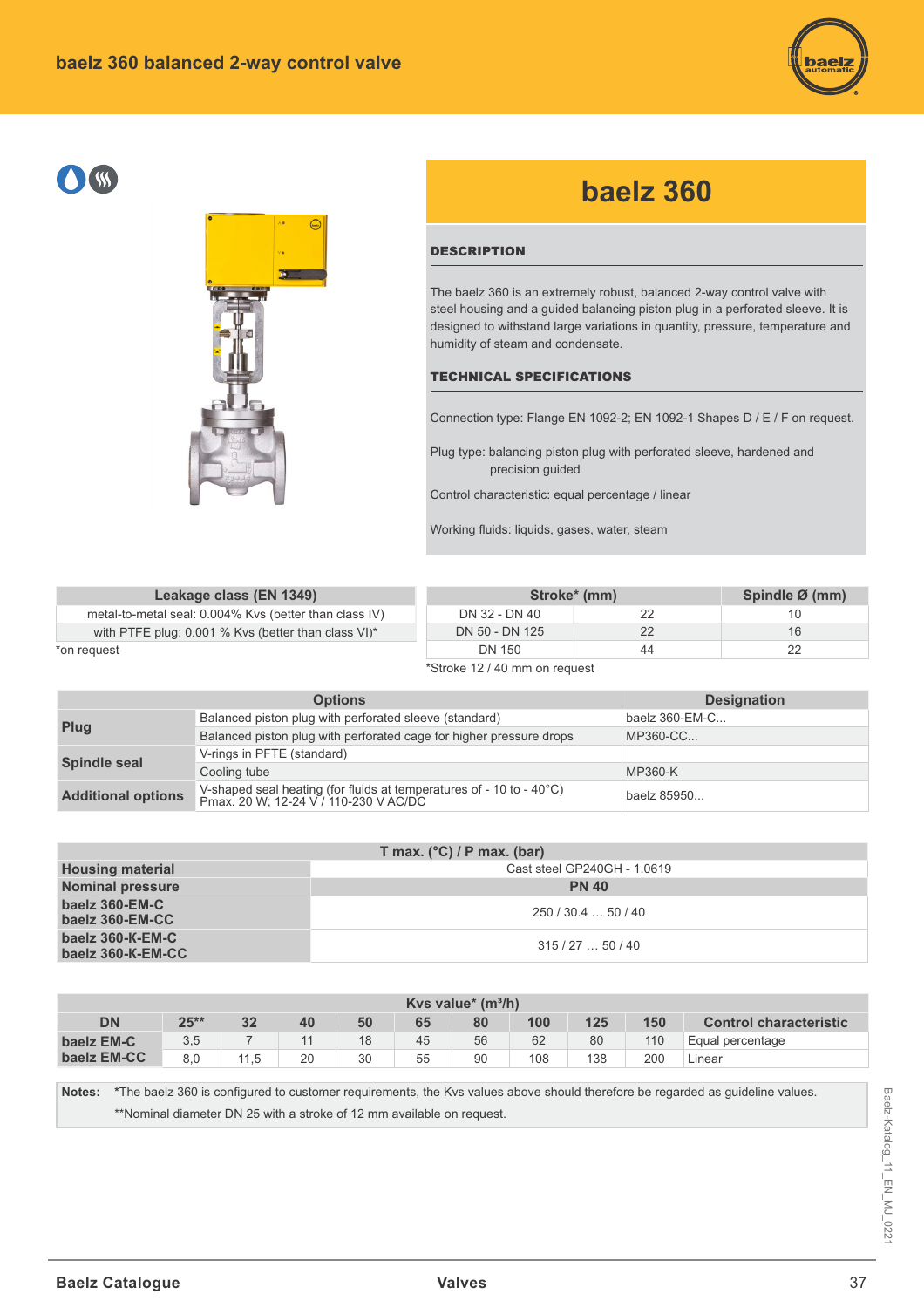





## **baelz 360**

## **DESCRIPTION**

The baelz 360 is an extremely robust, balanced 2-way control valve with steel housing and a guided balancing piston plug in a perforated sleeve. It is designed to withstand large variations in quantity, pressure, temperature and humidity of steam and condensate.

## TECHNICAL SPECIFICATIONS

Connection type: Flange EN 1092-2; EN 1092-1 Shapes D / E / F on request.

Plug type: balancing piston plug with perforated sleeve, hardened and precision guided

Control characteristic: equal percentage / linear

Working fluids: liquids, gases, water, steam

| Leakage class (EN 1349)                                |                               | Stroke <sup>*</sup> (mm) |    |  |  |  |  |
|--------------------------------------------------------|-------------------------------|--------------------------|----|--|--|--|--|
| metal-to-metal seal: 0.004% Kvs (better than class IV) | DN 32 - DN 40                 | 22                       | 10 |  |  |  |  |
| with PTFE plug: 0.001 % Kvs (better than class VI)*    | DN 50 - DN 125                | 22                       | 16 |  |  |  |  |
| *on reauest                                            | DN 150                        | 44                       | 22 |  |  |  |  |
|                                                        | *Stroke 12 / 40 mm on request |                          |    |  |  |  |  |

|                           | <b>Options</b>                                                                                                | <b>Designation</b> |
|---------------------------|---------------------------------------------------------------------------------------------------------------|--------------------|
| Plug                      | Balanced piston plug with perforated sleeve (standard)                                                        | baelz $360$ -EM-C  |
|                           | Balanced piston plug with perforated cage for higher pressure drops                                           | MP360-CC           |
|                           | V-rings in PFTE (standard)                                                                                    |                    |
| <b>Spindle seal</b>       | Cooling tube                                                                                                  | MP360-K            |
| <b>Additional options</b> | V-shaped seal heating (for fluids at temperatures of - 10 to - 40°C)<br>Pmax. 20 W; 12-24 V / 110-230 V AC/DC | baelz 85950        |

| T max. $(^{\circ}C)$ / P max. (bar)   |                             |  |  |  |  |  |  |  |  |  |
|---------------------------------------|-----------------------------|--|--|--|--|--|--|--|--|--|
| <b>Housing material</b>               | Cast steel GP240GH - 1.0619 |  |  |  |  |  |  |  |  |  |
| <b>Nominal pressure</b>               | <b>PN 40</b>                |  |  |  |  |  |  |  |  |  |
| baelz 360-EM-C<br>baelz 360-EM-CC     | 250/30.450/40               |  |  |  |  |  |  |  |  |  |
| baelz 360-K-EM-C<br>baelz 360-K-EM-CC | 315/2750/40                 |  |  |  |  |  |  |  |  |  |

| Kys value* $(m^3/h)$ |        |      |    |    |    |    |     |     |     |                               |  |  |  |  |
|----------------------|--------|------|----|----|----|----|-----|-----|-----|-------------------------------|--|--|--|--|
| <b>DN</b>            | $25**$ | 32   | 40 | 50 | 65 | 80 | 100 | 125 | 150 | <b>Control characteristic</b> |  |  |  |  |
| baelz EM-C           | 3,5    |      |    | 18 | 45 | 56 | 62  | 80  | 110 | Equal percentage              |  |  |  |  |
| baelz EM-CC          | 8.0    | 11.5 | 20 | 30 | 55 | 90 | 108 | 138 | 200 | Linear                        |  |  |  |  |

Notes: \*The baelz 360 is configured to customer requirements, the Kvs values above should therefore be regarded as guideline values. \*\*Nominal diameter DN 25 with a stroke of 12 mm available on request.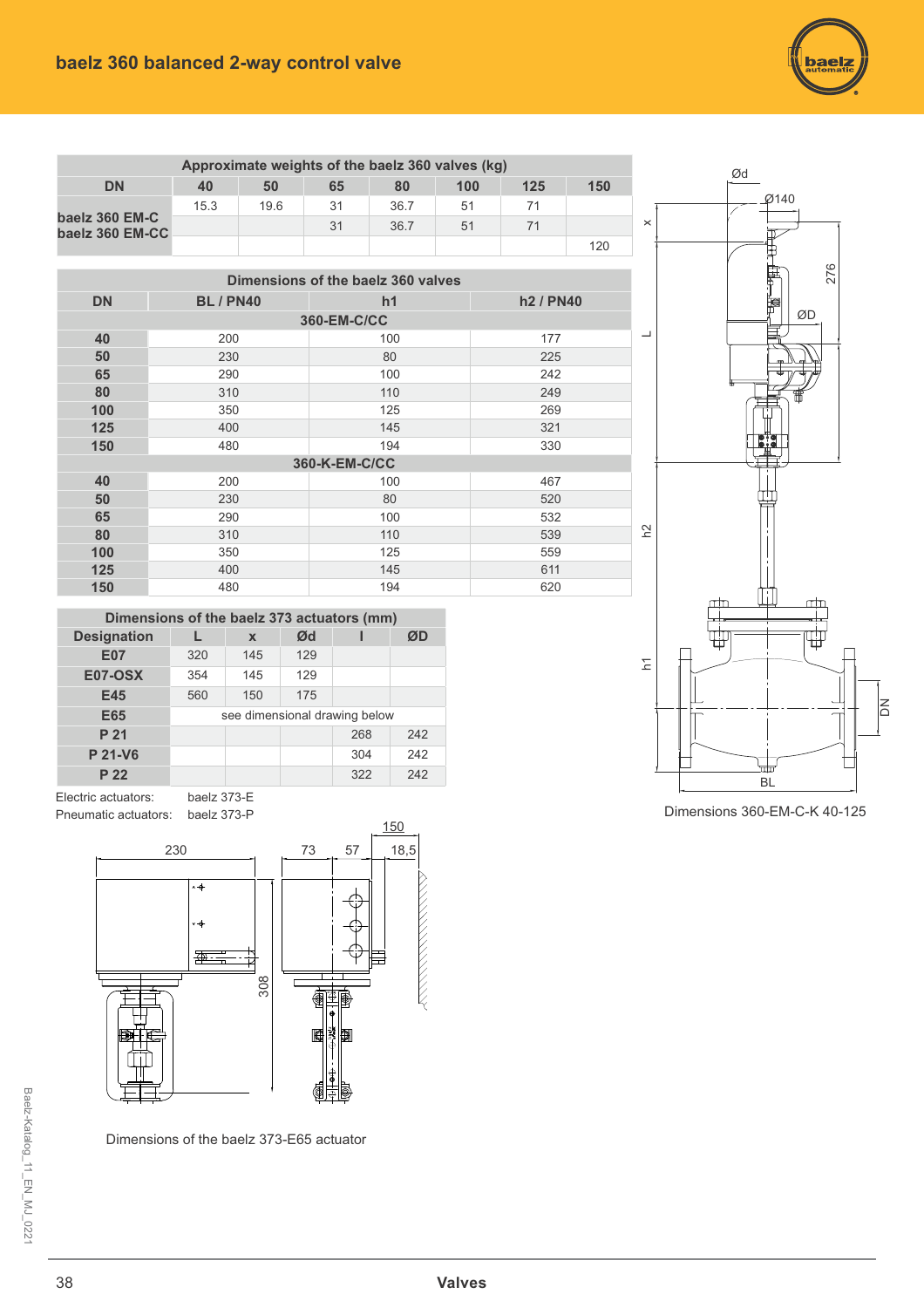

| Approximate weights of the baelz 360 valves (kg) |      |      |    |      |     |     |     |  |  |  |  |  |  |  |
|--------------------------------------------------|------|------|----|------|-----|-----|-----|--|--|--|--|--|--|--|
| <b>DN</b>                                        | 40   | 50   | 65 | 80   | 100 | 125 | 150 |  |  |  |  |  |  |  |
|                                                  | 15.3 | 19.6 | 31 | 36.7 | 51  | 71  |     |  |  |  |  |  |  |  |
| baelz 360 EM-C<br>baelz 360 EM-CC                |      |      | 31 | 36.7 | 51  | 71  |     |  |  |  |  |  |  |  |
|                                                  |      |      |    |      |     |     | 120 |  |  |  |  |  |  |  |

|           | Dimensions of the baelz 360 valves |               |                                   |  |  |  |  |  |  |  |  |  |  |  |  |
|-----------|------------------------------------|---------------|-----------------------------------|--|--|--|--|--|--|--|--|--|--|--|--|
| <b>DN</b> | <b>BL/PN40</b>                     | h1            | h <sub>2</sub> / PN <sub>40</sub> |  |  |  |  |  |  |  |  |  |  |  |  |
|           | 360-EM-C/CC                        |               |                                   |  |  |  |  |  |  |  |  |  |  |  |  |
| 40        | 200                                | 100           | 177                               |  |  |  |  |  |  |  |  |  |  |  |  |
| 50        | 230                                | 80            | 225                               |  |  |  |  |  |  |  |  |  |  |  |  |
| 65        | 290                                | 100           | 242                               |  |  |  |  |  |  |  |  |  |  |  |  |
| 80        | 310                                | 110           | 249                               |  |  |  |  |  |  |  |  |  |  |  |  |
| 100       | 350                                | 125           | 269                               |  |  |  |  |  |  |  |  |  |  |  |  |
| 125       | 400                                | 145           | 321                               |  |  |  |  |  |  |  |  |  |  |  |  |
| 150       | 480                                | 194           | 330                               |  |  |  |  |  |  |  |  |  |  |  |  |
|           |                                    | 360-K-EM-C/CC |                                   |  |  |  |  |  |  |  |  |  |  |  |  |
| 40        | 200                                | 100           | 467                               |  |  |  |  |  |  |  |  |  |  |  |  |
| 50        | 230                                | 80            | 520                               |  |  |  |  |  |  |  |  |  |  |  |  |
| 65        | 290                                | 100           | 532                               |  |  |  |  |  |  |  |  |  |  |  |  |
| 80        | 310                                | 110           | 539                               |  |  |  |  |  |  |  |  |  |  |  |  |
| 100       | 350                                | 125           | 559                               |  |  |  |  |  |  |  |  |  |  |  |  |
| 125       | 400                                | 145           | 611                               |  |  |  |  |  |  |  |  |  |  |  |  |
| 150       | 480                                | 194           | 620                               |  |  |  |  |  |  |  |  |  |  |  |  |



Dimensions 360-EM-C-K 40-125

| Dimensions of the baelz 373 actuators (mm) |     |             |     |                               |     |  |  |  |  |  |  |  |  |  |
|--------------------------------------------|-----|-------------|-----|-------------------------------|-----|--|--|--|--|--|--|--|--|--|
| <b>Designation</b>                         |     | $\mathbf x$ |     | ØD                            |     |  |  |  |  |  |  |  |  |  |
| <b>E07</b>                                 | 320 | 145         | 129 |                               |     |  |  |  |  |  |  |  |  |  |
| <b>E07-OSX</b>                             | 354 | 145         | 129 |                               |     |  |  |  |  |  |  |  |  |  |
| E45                                        | 560 | 150         | 175 |                               |     |  |  |  |  |  |  |  |  |  |
| E65                                        |     |             |     | see dimensional drawing below |     |  |  |  |  |  |  |  |  |  |
| P 21                                       |     |             |     | 268                           | 242 |  |  |  |  |  |  |  |  |  |
| P 21-V6                                    |     |             |     | 304                           | 242 |  |  |  |  |  |  |  |  |  |
| P 22                                       |     |             |     | 322                           | 242 |  |  |  |  |  |  |  |  |  |

Electric actuators: baelz 373-E Pneumatic actuators: baelz 373-P



Dimensions of the baelz 373-E65 actuator

Baelz-Katalog\_11\_EN\_MJ\_0221 Baelz-Katalog\_11\_EN\_MJ\_0221